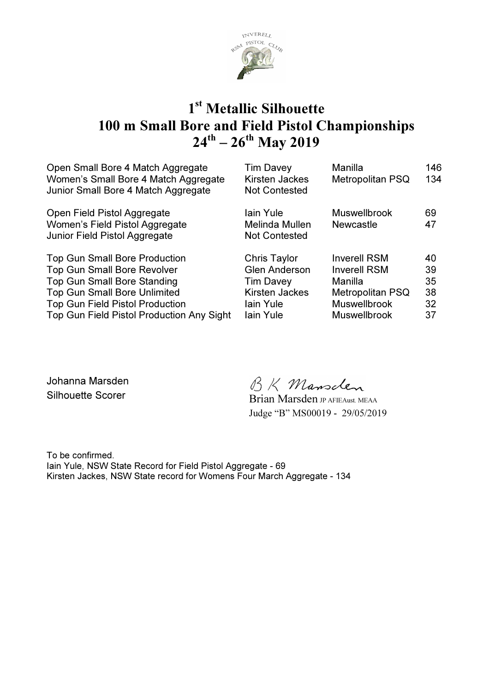

### 1<sup>st</sup> Metallic Silhouette 100 m Small Bore and Field Pistol Championships  $24^{\text{th}} - 26^{\text{th}}$  May 2019

| Open Small Bore 4 Match Aggregate<br>Women's Small Bore 4 Match Aggregate<br>Junior Small Bore 4 Match Aggregate                                                                                                                               | <b>Tim Davey</b><br><b>Kirsten Jackes</b><br><b>Not Contested</b>                                                  | Manilla<br><b>Metropolitan PSQ</b>                                                                                             | 146<br>134                       |
|------------------------------------------------------------------------------------------------------------------------------------------------------------------------------------------------------------------------------------------------|--------------------------------------------------------------------------------------------------------------------|--------------------------------------------------------------------------------------------------------------------------------|----------------------------------|
| Open Field Pistol Aggregate<br>Women's Field Pistol Aggregate<br>Junior Field Pistol Aggregate                                                                                                                                                 | lain Yule<br>Melinda Mullen<br><b>Not Contested</b>                                                                | <b>Muswellbrook</b><br><b>Newcastle</b>                                                                                        | 69<br>47                         |
| <b>Top Gun Small Bore Production</b><br><b>Top Gun Small Bore Revolver</b><br><b>Top Gun Small Bore Standing</b><br><b>Top Gun Small Bore Unlimited</b><br><b>Top Gun Field Pistol Production</b><br>Top Gun Field Pistol Production Any Sight | Chris Taylor<br><b>Glen Anderson</b><br><b>Tim Davey</b><br><b>Kirsten Jackes</b><br>lain Yule<br><b>lain Yule</b> | <b>Inverell RSM</b><br><b>Inverell RSM</b><br>Manilla<br><b>Metropolitan PSQ</b><br><b>Muswellbrook</b><br><b>Muswellbrook</b> | 40<br>39<br>35<br>38<br>32<br>37 |

Johanna Marsden Silhouette Scorer<br>Silhouette Scorer Brian Marsden JP AFIEAust. MEAA

Judge "B" MS00019 - 29/05/2019

To be confirmed. Iain Yule, NSW State Record for Field Pistol Aggregate - 69 Kirsten Jackes, NSW State record for Womens Four March Aggregate - 134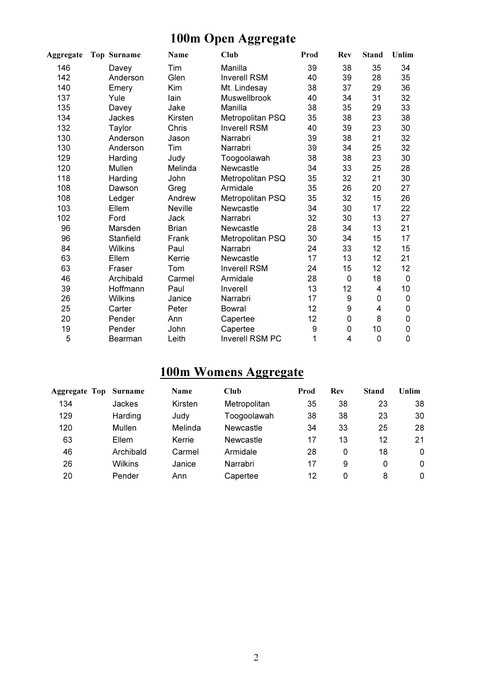## 100m Open Aggregate

| Aggregate | <b>Top Surname</b> | Name           | Club                | Prod | Rev         | <b>Stand</b> | Unlim |
|-----------|--------------------|----------------|---------------------|------|-------------|--------------|-------|
| 146       | Davey              | Tim            | Manilla             | 39   | 38          | 35           | 34    |
| 142       | Anderson           | Glen           | <b>Inverell RSM</b> | 40   | 39          | 28           | 35    |
| 140       | Emery              | Kim            | Mt. Lindesay        | 38   | 37          | 29           | 36    |
| 137       | Yule               | lain           | Muswellbrook        | 40   | 34          | 31           | 32    |
| 135       | Davey              | Jake           | Manilla             | 38   | 35          | 29           | 33    |
| 134       | Jackes             | Kirsten        | Metropolitan PSQ    | 35   | 38          | 23           | 38    |
| 132       | Taylor             | Chris          | <b>Inverell RSM</b> | 40   | 39          | 23           | 30    |
| 130       | Anderson           | Jason          | Narrabri            | 39   | 38          | 21           | 32    |
| 130       | Anderson           | Tim            | Narrabri            | 39   | 34          | 25           | 32    |
| 129       | Harding            | Judy           | Toogoolawah         | 38   | 38          | 23           | 30    |
| 120       | Mullen             | Melinda        | Newcastle           | 34   | 33          | 25           | 28    |
| 118       | Harding            | John           | Metropolitan PSQ    | 35   | 32          | 21           | 30    |
| 108       | Dawson             | Greg           | Armidale            | 35   | 26          | 20           | 27    |
| 108       | Ledger             | Andrew         | Metropolitan PSQ    | 35   | 32          | 15           | 26    |
| 103       | Ellem              | <b>Neville</b> | Newcastle           | 34   | 30          | 17           | 22    |
| 102       | Ford               | Jack           | Narrabri            | 32   | 30          | 13           | 27    |
| 96        | Marsden            | <b>Brian</b>   | <b>Newcastle</b>    | 28   | 34          | 13           | 21    |
| 96        | Stanfield          | Frank          | Metropolitan PSQ    | 30   | 34          | 15           | 17    |
| 84        | <b>Wilkins</b>     | Paul           | Narrabri            | 24   | 33          | 12           | 15    |
| 63        | Ellem              | Kerrie         | Newcastle           | 17   | 13          | 12           | 21    |
| 63        | Fraser             | Tom            | <b>Inverell RSM</b> | 24   | 15          | 12           | 12    |
| 46        | Archibald          | Carmel         | Armidale            | 28   | 0           | 18           | 0     |
| 39        | Hoffmann           | Paul           | Inverell            | 13   | 12          | 4            | 10    |
| 26        | <b>Wilkins</b>     | Janice         | Narrabri            | 17   | 9           | 0            | 0     |
| 25        | Carter             | Peter          | <b>Bowral</b>       | 12   | 9           | 4            | 0     |
| 20        | Pender             | Ann            | Capertee            | 12   | $\mathsf 0$ | 8            | 0     |
| 19        | Pender             | John           | Capertee            | 9    | 0           | 10           | 0     |
| 5         | Bearman            | Leith          | Inverell RSM PC     | 1    | 4           | 0            | 0     |

### 100m Womens Aggregate

| <b>Aggregate Top Surname</b> |                | Name    | Club         | Prod | <b>Rev</b> | Stand | Unlim    |
|------------------------------|----------------|---------|--------------|------|------------|-------|----------|
| 134                          | Jackes         | Kirsten | Metropolitan | 35   | 38         | 23    | 38       |
| 129                          | Harding        | Judy    | Toogoolawah  | 38   | 38         | 23    | 30       |
| 120                          | Mullen         | Melinda | Newcastle    | 34   | 33         | 25    | 28       |
| 63                           | Ellem          | Kerrie  | Newcastle    | 17   | 13         | 12    | 21       |
| 46                           | Archibald      | Carmel  | Armidale     | 28   | 0          | 18    | $\Omega$ |
| 26                           | <b>Wilkins</b> | Janice  | Narrabri     | 17   | 9          | 0     | 0        |
| 20                           | Pender         | Ann     | Capertee     | 12   | 0          | 8     | 0        |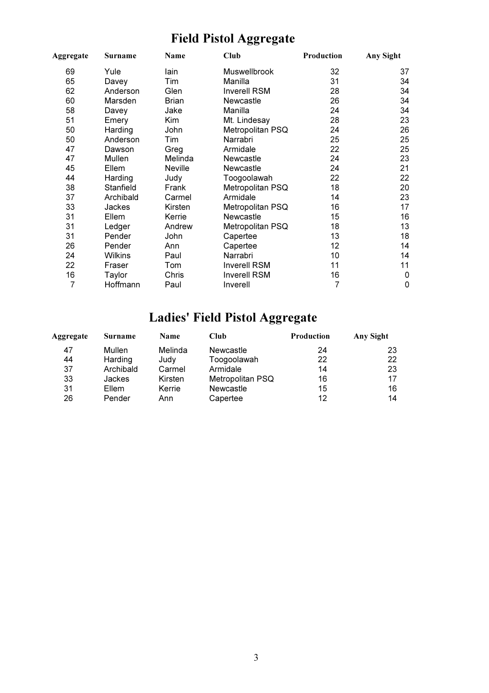## Field Pistol Aggregate

| Aggregate | <b>Surname</b> | Name           | Club                | Production | Any Sight   |
|-----------|----------------|----------------|---------------------|------------|-------------|
| 69        | Yule           | lain           | Muswellbrook        | 32         | 37          |
| 65        | Davey          | Tim            | Manilla             | 31         | 34          |
| 62        | Anderson       | Glen           | <b>Inverell RSM</b> | 28         | 34          |
| 60        | Marsden        | <b>Brian</b>   | Newcastle           | 26         | 34          |
| 58        | Davey          | Jake           | Manilla             | 24         | 34          |
| 51        | Emery          | Kim            | Mt. Lindesay        | 28         | 23          |
| 50        | Harding        | John           | Metropolitan PSQ    | 24         | 26          |
| 50        | Anderson       | Tim            | Narrabri            | 25         | 25          |
| 47        | Dawson         | Greg           | Armidale            | 22         | 25          |
| 47        | Mullen         | Melinda        | <b>Newcastle</b>    | 24         | 23          |
| 45        | Ellem          | <b>Neville</b> | Newcastle           | 24         | 21          |
| 44        | Harding        | Judy           | Toogoolawah         | 22         | 22          |
| 38        | Stanfield      | Frank          | Metropolitan PSQ    | 18         | 20          |
| 37        | Archibald      | Carmel         | Armidale            | 14         | 23          |
| 33        | <b>Jackes</b>  | Kirsten        | Metropolitan PSQ    | 16         | 17          |
| 31        | Ellem          | Kerrie         | <b>Newcastle</b>    | 15         | 16          |
| 31        | Ledger         | Andrew         | Metropolitan PSQ    | 18         | 13          |
| 31        | Pender         | John           | Capertee            | 13         | 18          |
| 26        | Pender         | Ann            | Capertee            | 12         | 14          |
| 24        | <b>Wilkins</b> | Paul           | Narrabri            | 10         | 14          |
| 22        | Fraser         | Tom            | <b>Inverell RSM</b> | 11         | 11          |
| 16        | Taylor         | Chris          | <b>Inverell RSM</b> | 16         | $\mathbf 0$ |
| 7         | Hoffmann       | Paul           | Inverell            | 7          | 0           |

# Ladies' Field Pistol Aggregate

| Aggregate | <b>Surname</b> | <b>Name</b> | Club             | <b>Production</b> | Any Sight |
|-----------|----------------|-------------|------------------|-------------------|-----------|
| 47        | Mullen         | Melinda     | <b>Newcastle</b> | 24                | 23        |
| 44        | Harding        | Judy        | Toogoolawah      | 22                | 22        |
| 37        | Archibald      | Carmel      | Armidale         | 14                | 23        |
| 33        | <b>Jackes</b>  | Kirsten     | Metropolitan PSQ | 16                | 17        |
| 31        | Ellem          | Kerrie      | Newcastle        | 15                | 16        |
| 26        | Pender         | Ann         | Capertee         | 12                | 14        |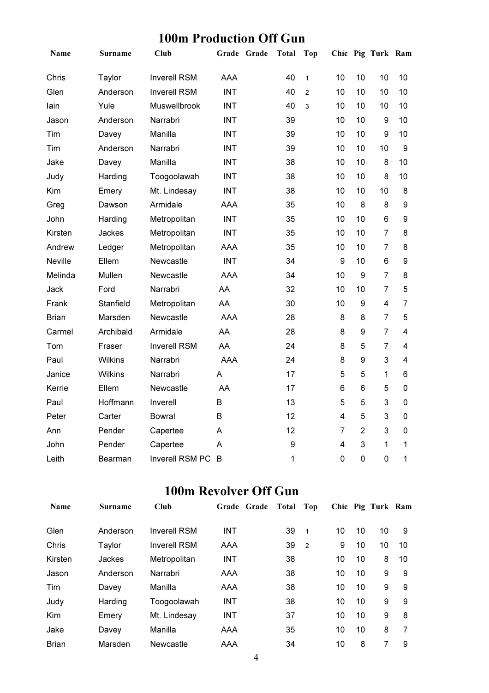### 100m Production Off Gun

| Name           | <b>Surname</b> | Club                |            | Grade Grade | <b>Total</b> | <b>Top</b>     |                |                  | Chic Pig Turk Ram |                         |
|----------------|----------------|---------------------|------------|-------------|--------------|----------------|----------------|------------------|-------------------|-------------------------|
| Chris          | Taylor         | <b>Inverell RSM</b> | <b>AAA</b> |             | 40           | $\mathbf{1}$   | 10             | 10               | 10                | 10                      |
| Glen           | Anderson       | <b>Inverell RSM</b> | <b>INT</b> |             | 40           | $\overline{2}$ | 10             | 10               | 10                | 10                      |
| lain           | Yule           | Muswellbrook        | <b>INT</b> |             | 40           | 3              | 10             | 10               | 10                | 10                      |
| Jason          | Anderson       | Narrabri            | <b>INT</b> |             | 39           |                | 10             | 10               | 9                 | 10                      |
| Tim            | Davey          | Manilla             | <b>INT</b> |             | 39           |                | 10             | 10               | 9                 | 10                      |
| Tim            | Anderson       | Narrabri            | <b>INT</b> |             | 39           |                | 10             | 10               | 10                | 9                       |
| Jake           | Davey          | Manilla             | <b>INT</b> |             | 38           |                | 10             | 10               | 8                 | 10                      |
| Judy           | Harding        | Toogoolawah         | <b>INT</b> |             | 38           |                | 10             | 10               | 8                 | 10                      |
| Kim            | Emery          | Mt. Lindesay        | <b>INT</b> |             | 38           |                | 10             | 10               | 10                | 8                       |
| Greg           | Dawson         | Armidale            | <b>AAA</b> |             | 35           |                | 10             | 8                | 8                 | 9                       |
| John           | Harding        | Metropolitan        | <b>INT</b> |             | 35           |                | 10             | 10               | 6                 | 9                       |
| Kirsten        | Jackes         | Metropolitan        | <b>INT</b> |             | 35           |                | 10             | 10               | $\overline{7}$    | 8                       |
| Andrew         | Ledger         | Metropolitan        | AAA        |             | 35           |                | 10             | 10               | $\overline{7}$    | 8                       |
| <b>Neville</b> | Ellem          | Newcastle           | <b>INT</b> |             | 34           |                | 9              | 10               | 6                 | 9                       |
| Melinda        | Mullen         | Newcastle           | <b>AAA</b> |             | 34           |                | 10             | $\boldsymbol{9}$ | $\overline{7}$    | 8                       |
| Jack           | Ford           | Narrabri            | AA         |             | 32           |                | 10             | 10               | $\overline{7}$    | 5                       |
| Frank          | Stanfield      | Metropolitan        | AA         |             | 30           |                | 10             | $\boldsymbol{9}$ | $\overline{4}$    | $\overline{7}$          |
| <b>Brian</b>   | Marsden        | Newcastle           | <b>AAA</b> |             | 28           |                | 8              | 8                | $\overline{7}$    | 5                       |
| Carmel         | Archibald      | Armidale            | AA         |             | 28           |                | 8              | 9                | $\overline{7}$    | $\overline{\mathbf{4}}$ |
| Tom            | Fraser         | <b>Inverell RSM</b> | AA         |             | 24           |                | 8              | 5                | $\overline{7}$    | 4                       |
| Paul           | Wilkins        | Narrabri            | AAA        |             | 24           |                | 8              | 9                | 3                 | 4                       |
| Janice         | Wilkins        | Narrabri            | A          |             | 17           |                | 5              | 5                | 1                 | 6                       |
| Kerrie         | Ellem          | Newcastle           | AA         |             | 17           |                | 6              | 6                | 5                 | 0                       |
| Paul           | Hoffmann       | Inverell            | B          |             | 13           |                | 5              | 5                | 3                 | $\mathbf 0$             |
| Peter          | Carter         | Bowral              | B          |             | 12           |                | 4              | 5                | 3                 | $\mathbf 0$             |
| Ann            | Pender         | Capertee            | A          |             | 12           |                | $\overline{7}$ | $\overline{2}$   | 3                 | $\mathbf 0$             |
| John           | Pender         | Capertee            | A          |             | 9            |                | 4              | 3                | 1                 | 1                       |
| Leith          | Bearman        | Inverell RSM PC     | B          |             | $\mathbf{1}$ |                | $\mathbf 0$    | $\mathbf 0$      | $\overline{0}$    | 1                       |

#### 100m Revolver Off Gun

| <b>Name</b>  | <b>Surname</b> | Club                | Grade Grade | Total | Top            |    |    | Chic Pig Turk Ram |    |
|--------------|----------------|---------------------|-------------|-------|----------------|----|----|-------------------|----|
| Glen         | Anderson       | <b>Inverell RSM</b> | <b>INT</b>  | 39    | $\mathbf{1}$   | 10 | 10 | 10                | 9  |
| Chris        | Taylor         | <b>Inverell RSM</b> | AAA         | 39    | $\overline{2}$ | 9  | 10 | 10                | 10 |
| Kirsten      | Jackes         | Metropolitan        | <b>INT</b>  | 38    |                | 10 | 10 | 8                 | 10 |
| Jason        | Anderson       | Narrabri            | <b>AAA</b>  | 38    |                | 10 | 10 | 9                 | 9  |
| Tim          | Davey          | Manilla             | AAA         | 38    |                | 10 | 10 | 9                 | 9  |
| Judy         | Harding        | Toogoolawah         | <b>INT</b>  | 38    |                | 10 | 10 | 9                 | 9  |
| Kim          | Emery          | Mt. Lindesay        | <b>INT</b>  | 37    |                | 10 | 10 | 9                 | 8  |
| Jake         | Davey          | Manilla             | AAA         | 35    |                | 10 | 10 | 8                 | 7  |
| <b>Brian</b> | Marsden        | Newcastle           | AAA         | 34    |                | 10 | 8  |                   | 9  |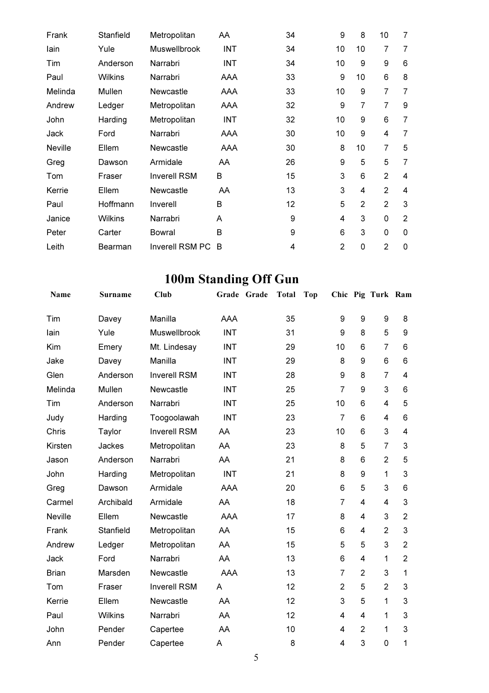| Frank          | Stanfield      | Metropolitan           | AA         | 34 | 9              | 8              | 10             | 7              |
|----------------|----------------|------------------------|------------|----|----------------|----------------|----------------|----------------|
| lain           | Yule           | Muswellbrook           | <b>INT</b> | 34 | 10             | 10             | 7              | $\overline{7}$ |
| Tim            | Anderson       | Narrabri               | <b>INT</b> | 34 | 10             | 9              | 9              | 6              |
| Paul           | <b>Wilkins</b> | Narrabri               | AAA        | 33 | 9              | 10             | 6              | 8              |
| Melinda        | Mullen         | Newcastle              | AAA        | 33 | 10             | 9              | $\overline{7}$ | $\overline{7}$ |
| Andrew         | Ledger         | Metropolitan           | AAA        | 32 | 9              | 7              | $\overline{7}$ | 9              |
| John           | Harding        | Metropolitan           | INT        | 32 | 10             | 9              | 6              | $\overline{7}$ |
| Jack           | Ford           | Narrabri               | AAA        | 30 | 10             | 9              | 4              | 7              |
| <b>Neville</b> | Ellem          | Newcastle              | AAA        | 30 | 8              | 10             | $\overline{7}$ | 5              |
| Greg           | Dawson         | Armidale               | AA         | 26 | 9              | 5              | 5              | $\overline{7}$ |
| Tom            | Fraser         | <b>Inverell RSM</b>    | B          | 15 | 3              | 6              | $\overline{2}$ | 4              |
| Kerrie         | Ellem          | Newcastle              | AA         | 13 | 3              | 4              | $\overline{2}$ | 4              |
| Paul           | Hoffmann       | Inverell               | B          | 12 | 5              | $\overline{2}$ | $\overline{2}$ | 3              |
| Janice         | <b>Wilkins</b> | Narrabri               | A          | 9  | 4              | 3              | 0              | $\overline{2}$ |
| Peter          | Carter         | Bowral                 | B          | 9  | 6              | 3              | 0              | $\mathbf 0$    |
| Leith          | Bearman        | <b>Inverell RSM PC</b> | B          | 4  | $\overline{2}$ | 0              | $\overline{2}$ | 0              |

## 100m Standing Off Gun

| Name           | Surname        | Club                |            | Grade Grade | <b>Total</b> | <b>Top</b> |                |                  | Chic Pig Turk Ram |                |
|----------------|----------------|---------------------|------------|-------------|--------------|------------|----------------|------------------|-------------------|----------------|
| Tim            | Davey          | Manilla             | AAA        |             | 35           |            | 9              | 9                | 9                 | 8              |
| lain           | Yule           | Muswellbrook        | <b>INT</b> |             | 31           |            | 9              | 8                | 5                 | 9              |
| Kim            | Emery          | Mt. Lindesay        | <b>INT</b> |             | 29           |            | 10             | 6                | $\overline{7}$    | 6              |
| Jake           | Davey          | Manilla             | <b>INT</b> |             | 29           |            | 8              | 9                | 6                 | 6              |
| Glen           | Anderson       | <b>Inverell RSM</b> | <b>INT</b> |             | 28           |            | 9              | 8                | $\overline{7}$    | 4              |
| Melinda        | Mullen         | Newcastle           | <b>INT</b> |             | 25           |            | $\overline{7}$ | 9                | 3                 | 6              |
| Tim            | Anderson       | Narrabri            | <b>INT</b> |             | 25           |            | 10             | 6                | 4                 | 5              |
| Judy           | Harding        | Toogoolawah         | <b>INT</b> |             | 23           |            | $\overline{7}$ | 6                | 4                 | 6              |
| Chris          | Taylor         | <b>Inverell RSM</b> | AA         |             | 23           |            | 10             | 6                | 3                 | 4              |
| Kirsten        | Jackes         | Metropolitan        | AA         |             | 23           |            | 8              | 5                | $\overline{7}$    | 3              |
| Jason          | Anderson       | Narrabri            | AA         |             | 21           |            | 8              | 6                | $\overline{2}$    | 5              |
| John           | Harding        | Metropolitan        | <b>INT</b> |             | 21           |            | 8              | $\boldsymbol{9}$ | 1                 | 3              |
| Greg           | Dawson         | Armidale            | AAA        |             | 20           |            | 6              | 5                | 3                 | 6              |
| Carmel         | Archibald      | Armidale            | AA         |             | 18           |            | $\overline{7}$ | 4                | $\overline{4}$    | 3              |
| <b>Neville</b> | Ellem          | Newcastle           | <b>AAA</b> |             | 17           |            | 8              | 4                | 3                 | $\overline{2}$ |
| Frank          | Stanfield      | Metropolitan        | AA         |             | 15           |            | 6              | 4                | $\overline{2}$    | 3              |
| Andrew         | Ledger         | Metropolitan        | AA         |             | 15           |            | 5              | 5                | 3                 | $\overline{2}$ |
| Jack           | Ford           | Narrabri            | AA         |             | 13           |            | 6              | 4                | 1                 | $\overline{2}$ |
| <b>Brian</b>   | Marsden        | Newcastle           | <b>AAA</b> |             | 13           |            | $\overline{7}$ | $\overline{2}$   | 3                 | 1              |
| Tom            | Fraser         | <b>Inverell RSM</b> | A          |             | 12           |            | $\overline{2}$ | 5                | $\overline{2}$    | 3              |
| Kerrie         | Ellem          | Newcastle           | AA         |             | 12           |            | 3              | 5                | 1                 | 3              |
| Paul           | <b>Wilkins</b> | Narrabri            | AA         |             | 12           |            | 4              | 4                | 1                 | 3              |
| John           | Pender         | Capertee            | AA         |             | 10           |            | 4              | $\overline{2}$   | 1                 | 3              |
| Ann            | Pender         | Capertee            | A          |             | 8            |            | 4              | 3                | 0                 | 1              |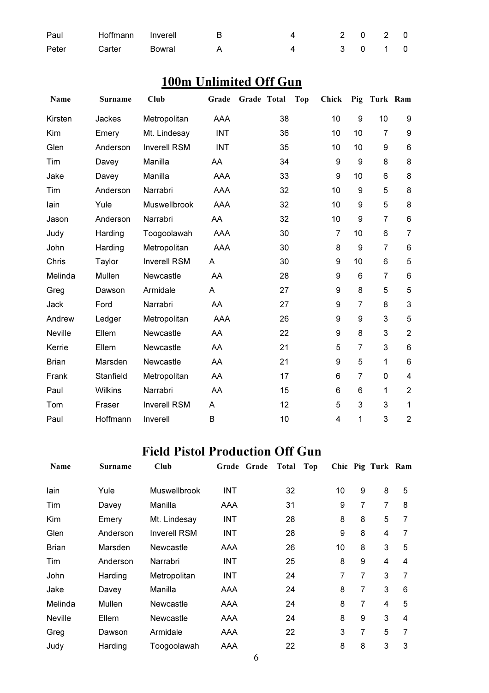| Paul  |               | Hoffmann Inverell B | 4 2 0 2 0 |  |  |
|-------|---------------|---------------------|-----------|--|--|
| Peter | Carter Bowral |                     | 4 3 0 1 0 |  |  |

### 100m Unlimited Off Gun

| Name           | <b>Surname</b> | Club                | Grade      | Grade Total | <b>Top</b> | <b>Chick</b>   | Pig            | Turk Ram       |                  |
|----------------|----------------|---------------------|------------|-------------|------------|----------------|----------------|----------------|------------------|
| Kirsten        | Jackes         | Metropolitan        | AAA        | 38          |            | 10             | 9              | 10             | $\boldsymbol{9}$ |
| Kim            | Emery          | Mt. Lindesay        | <b>INT</b> | 36          |            | 10             | 10             | $\overline{7}$ | $\boldsymbol{9}$ |
| Glen           | Anderson       | <b>Inverell RSM</b> | <b>INT</b> | 35          |            | 10             | 10             | 9              | 6                |
| Tim            | Davey          | Manilla             | AA         | 34          |            | 9              | 9              | 8              | 8                |
| Jake           | Davey          | Manilla             | AAA        | 33          |            | 9              | 10             | 6              | 8                |
| Tim            | Anderson       | Narrabri            | AAA        | 32          |            | 10             | 9              | 5              | 8                |
| lain           | Yule           | Muswellbrook        | AAA        | 32          |            | 10             | 9              | 5              | 8                |
| Jason          | Anderson       | Narrabri            | AA         | 32          |            | 10             | 9              | $\overline{7}$ | 6                |
| Judy           | Harding        | Toogoolawah         | AAA        | 30          |            | $\overline{7}$ | 10             | 6              | $\overline{7}$   |
| John           | Harding        | Metropolitan        | AAA        | 30          |            | 8              | 9              | $\overline{7}$ | 6                |
| Chris          | Taylor         | <b>Inverell RSM</b> | Α          | 30          |            | 9              | 10             | 6              | 5                |
| Melinda        | Mullen         | Newcastle           | AA         | 28          |            | 9              | 6              | 7              | 6                |
| Greg           | Dawson         | Armidale            | Α          | 27          |            | 9              | 8              | 5              | 5                |
| Jack           | Ford           | Narrabri            | AA         | 27          |            | 9              | $\overline{7}$ | 8              | 3                |
| Andrew         | Ledger         | Metropolitan        | AAA        | 26          |            | 9              | 9              | 3              | 5                |
| <b>Neville</b> | Ellem          | Newcastle           | AA         | 22          |            | 9              | 8              | 3              | $\overline{2}$   |
| Kerrie         | Ellem          | Newcastle           | AA         | 21          |            | 5              | 7              | 3              | 6                |
| <b>Brian</b>   | Marsden        | Newcastle           | AA         | 21          |            | 9              | 5              | $\mathbf 1$    | 6                |
| Frank          | Stanfield      | Metropolitan        | AA         | 17          |            | 6              | 7              | 0              | 4                |
| Paul           | <b>Wilkins</b> | Narrabri            | AA         | 15          |            | 6              | 6              | 1              | $\overline{2}$   |
| Tom            | Fraser         | <b>Inverell RSM</b> | A          | 12          |            | 5              | 3              | 3              | $\mathbf{1}$     |
| Paul           | Hoffmann       | Inverell            | B          | 10          |            | 4              | 1              | 3              | $\overline{2}$   |

### Field Pistol Production Off Gun

| Name           | <b>Surname</b> | Club                |            | Grade Grade | Total | Top |    |                | Chic Pig Turk Ram |   |
|----------------|----------------|---------------------|------------|-------------|-------|-----|----|----------------|-------------------|---|
| lain           | Yule           | Muswellbrook        | <b>INT</b> |             | 32    |     | 10 | 9              | 8                 | 5 |
| Tim            | Davey          | Manilla             | AAA        |             | 31    |     | 9  | $\overline{7}$ | 7                 | 8 |
| Kim            | Emery          | Mt. Lindesay        | <b>INT</b> |             | 28    |     | 8  | 8              | 5                 | 7 |
| Glen           | Anderson       | <b>Inverell RSM</b> | <b>INT</b> |             | 28    |     | 9  | 8              | 4                 | 7 |
| <b>Brian</b>   | Marsden        | Newcastle           | AAA        |             | 26    |     | 10 | 8              | 3                 | 5 |
| Tim            | Anderson       | Narrabri            | <b>INT</b> |             | 25    |     | 8  | 9              | 4                 | 4 |
| John           | Harding        | Metropolitan        | <b>INT</b> |             | 24    |     | 7  | 7              | 3                 | 7 |
| Jake           | Davey          | Manilla             | AAA        |             | 24    |     | 8  | 7              | 3                 | 6 |
| Melinda        | Mullen         | Newcastle           | AAA        |             | 24    |     | 8  | 7              | 4                 | 5 |
| <b>Neville</b> | Ellem          | Newcastle           | AAA        |             | 24    |     | 8  | 9              | 3                 | 4 |
| Greg           | Dawson         | Armidale            | AAA        |             | 22    |     | 3  | 7              | 5                 | 7 |
| Judy           | Harding        | Toogoolawah         | AAA        |             | 22    |     | 8  | 8              | 3                 | 3 |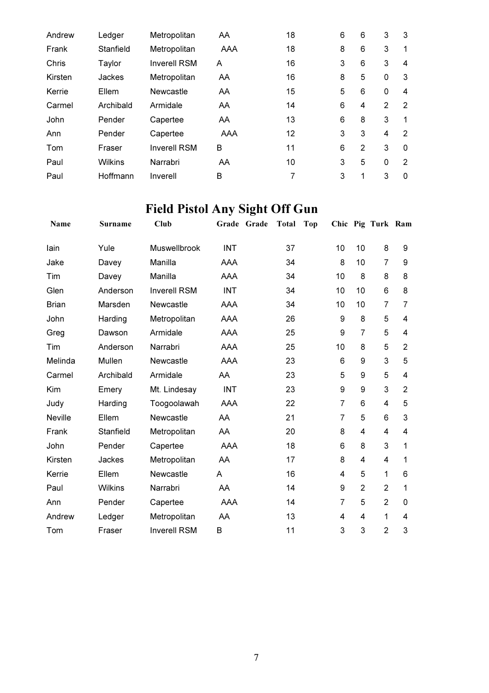| Andrew  | Ledger         | Metropolitan        | AA  | 18 | 6 | 6 | 3 | 3 |
|---------|----------------|---------------------|-----|----|---|---|---|---|
| Frank   | Stanfield      | Metropolitan        | AAA | 18 | 8 | 6 | 3 | 1 |
| Chris   | Taylor         | <b>Inverell RSM</b> | A   | 16 | 3 | 6 | 3 | 4 |
| Kirsten | Jackes         | Metropolitan        | AA  | 16 | 8 | 5 | 0 | 3 |
| Kerrie  | Ellem          | Newcastle           | AA  | 15 | 5 | 6 | 0 | 4 |
| Carmel  | Archibald      | Armidale            | AA  | 14 | 6 | 4 | 2 | 2 |
| John    | Pender         | Capertee            | AA  | 13 | 6 | 8 | 3 | 1 |
| Ann     | Pender         | Capertee            | AAA | 12 | 3 | 3 | 4 | 2 |
| Tom     | Fraser         | <b>Inverell RSM</b> | B   | 11 | 6 | 2 | 3 | 0 |
| Paul    | <b>Wilkins</b> | Narrabri            | AA  | 10 | 3 | 5 | 0 | 2 |
| Paul    | Hoffmann       | Inverell            | B   | 7  | 3 | 1 | 3 | 0 |

# Field Pistol Any Sight Off Gun

| Name           | <b>Surname</b> | Club                |            | Grade Grade | <b>Total</b> | <b>Top</b> |                |                | Chic Pig Turk Ram |                |
|----------------|----------------|---------------------|------------|-------------|--------------|------------|----------------|----------------|-------------------|----------------|
| lain           | Yule           | Muswellbrook        | <b>INT</b> |             | 37           |            | 10             | 10             | 8                 | 9              |
| Jake           | Davey          | Manilla             | AAA        |             | 34           |            | 8              | 10             | $\overline{7}$    | 9              |
| Tim            | Davey          | Manilla             | AAA        |             | 34           |            | 10             | 8              | 8                 | 8              |
| Glen           | Anderson       | <b>Inverell RSM</b> | <b>INT</b> |             | 34           |            | 10             | 10             | 6                 | 8              |
| <b>Brian</b>   | Marsden        | Newcastle           | AAA        |             | 34           |            | 10             | 10             | 7                 | 7              |
| John           | Harding        | Metropolitan        | AAA        |             | 26           |            | 9              | 8              | 5                 | 4              |
| Greg           | Dawson         | Armidale            | AAA        |             | 25           |            | 9              | 7              | 5                 | 4              |
| Tim            | Anderson       | Narrabri            | AAA        |             | 25           |            | 10             | 8              | 5                 | $\overline{2}$ |
| Melinda        | Mullen         | Newcastle           | AAA        |             | 23           |            | 6              | 9              | 3                 | 5              |
| Carmel         | Archibald      | Armidale            | AA         |             | 23           |            | 5              | 9              | 5                 | 4              |
| Kim            | Emery          | Mt. Lindesay        | <b>INT</b> |             | 23           |            | 9              | 9              | 3                 | $\overline{2}$ |
| Judy           | Harding        | Toogoolawah         | AAA        |             | 22           |            | $\overline{7}$ | 6              | $\overline{4}$    | 5              |
| <b>Neville</b> | Ellem          | Newcastle           | AA         |             | 21           |            | $\overline{7}$ | 5              | 6                 | 3              |
| Frank          | Stanfield      | Metropolitan        | AA         |             | 20           |            | 8              | 4              | 4                 | 4              |
| John           | Pender         | Capertee            | AAA        |             | 18           |            | 6              | 8              | 3                 | 1              |
| Kirsten        | Jackes         | Metropolitan        | AA         |             | 17           |            | 8              | 4              | $\overline{4}$    | 1              |
| Kerrie         | Ellem          | Newcastle           | A          |             | 16           |            | 4              | 5              | 1                 | 6              |
| Paul           | <b>Wilkins</b> | Narrabri            | AA         |             | 14           |            | 9              | $\overline{2}$ | $\overline{2}$    | 1              |
| Ann            | Pender         | Capertee            | AAA        |             | 14           |            | $\overline{7}$ | 5              | $\overline{2}$    | 0              |
| Andrew         | Ledger         | Metropolitan        | AA         |             | 13           |            | 4              | 4              | 1                 | 4              |
| Tom            | Fraser         | <b>Inverell RSM</b> | B          |             | 11           |            | 3              | 3              | $\overline{2}$    | 3              |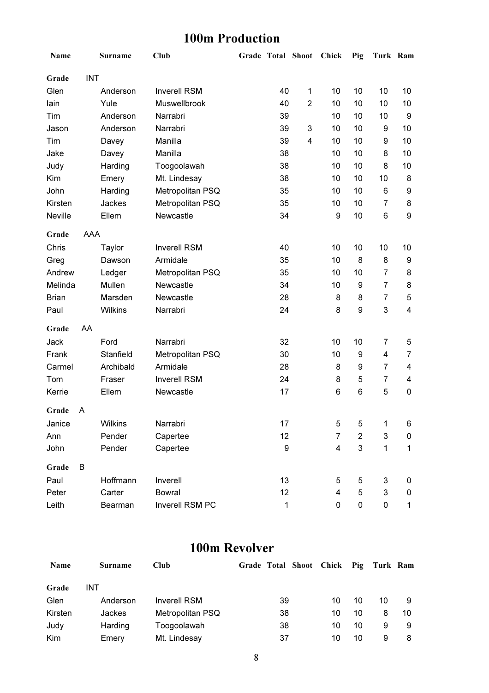### 100m Production

| Name           |            | Surname        | Club                | Grade Total Shoot |                         | Chick                   | Pig            | Turk Ram                  |                         |
|----------------|------------|----------------|---------------------|-------------------|-------------------------|-------------------------|----------------|---------------------------|-------------------------|
| Grade          | <b>INT</b> |                |                     |                   |                         |                         |                |                           |                         |
| Glen           |            | Anderson       | <b>Inverell RSM</b> | 40                | 1                       | 10                      | 10             | 10                        | 10                      |
| lain           |            | Yule           | Muswellbrook        | 40                | $\overline{2}$          | 10                      | 10             | 10                        | 10                      |
| Tim            |            | Anderson       | Narrabri            | 39                |                         | 10                      | 10             | 10                        | 9                       |
| Jason          |            | Anderson       | Narrabri            | 39                | $\mathbf{3}$            | 10                      | 10             | 9                         | 10                      |
| Tim            |            | Davey          | Manilla             | 39                | $\overline{\mathbf{4}}$ | 10                      | 10             | 9                         | 10                      |
| Jake           |            | Davey          | Manilla             | 38                |                         | 10                      | 10             | 8                         | 10                      |
| Judy           |            | Harding        | Toogoolawah         | 38                |                         | 10                      | 10             | 8                         | 10                      |
| Kim            |            | Emery          | Mt. Lindesay        | 38                |                         | 10                      | 10             | 10                        | 8                       |
| John           |            | Harding        | Metropolitan PSQ    | 35                |                         | 10                      | 10             | 6                         | 9                       |
| Kirsten        |            | Jackes         | Metropolitan PSQ    | 35                |                         | 10                      | 10             | 7                         | 8                       |
| <b>Neville</b> |            | Ellem          | Newcastle           | 34                |                         | 9                       | 10             | 6                         | $\boldsymbol{9}$        |
| Grade          | AAA        |                |                     |                   |                         |                         |                |                           |                         |
| Chris          |            | Taylor         | <b>Inverell RSM</b> | 40                |                         | 10                      | 10             | 10                        | 10                      |
| Greg           |            | Dawson         | Armidale            | 35                |                         | 10                      | 8              | 8                         | 9                       |
| Andrew         |            | Ledger         | Metropolitan PSQ    | 35                |                         | 10                      | 10             | 7                         | 8                       |
| Melinda        |            | Mullen         | Newcastle           | 34                |                         | 10                      | 9              | $\overline{7}$            | 8                       |
| <b>Brian</b>   |            | Marsden        | Newcastle           | 28                |                         | 8                       | 8              | $\overline{7}$            | 5                       |
| Paul           |            | <b>Wilkins</b> | Narrabri            | 24                |                         | 8                       | 9              | 3                         | $\overline{\mathbf{4}}$ |
| Grade          | AA         |                |                     |                   |                         |                         |                |                           |                         |
| Jack           |            | Ford           | Narrabri            | 32                |                         | 10                      | 10             | 7                         | 5                       |
| Frank          |            | Stanfield      | Metropolitan PSQ    | 30                |                         | 10                      | 9              | 4                         | $\overline{7}$          |
| Carmel         |            | Archibald      | Armidale            | 28                |                         | 8                       | 9              | $\overline{7}$            | 4                       |
| Tom            |            | Fraser         | <b>Inverell RSM</b> | 24                |                         | 8                       | 5              | $\overline{7}$            | 4                       |
| Kerrie         |            | Ellem          | Newcastle           | 17                |                         | 6                       | 6              | 5                         | $\mathbf 0$             |
| Grade          | A          |                |                     |                   |                         |                         |                |                           |                         |
| Janice         |            | Wilkins        | Narrabri            | 17                |                         | 5                       | 5              | 1                         | 6                       |
| Ann            |            | Pender         | Capertee            | 12                |                         | 7                       | 2              | 3                         | 0                       |
| John           |            | Pender         | Capertee            | 9                 |                         | $\overline{\mathbf{4}}$ | $\mathfrak{S}$ | 1                         | $\mathbf 1$             |
| Grade          | B          |                |                     |                   |                         |                         |                |                           |                         |
| Paul           |            | Hoffmann       | Inverell            | 13                |                         | 5                       | 5              | 3                         | 0                       |
| Peter          |            | Carter         | <b>Bowral</b>       | 12                |                         | 4                       | 5              | $\ensuremath{\mathsf{3}}$ | 0                       |
| Leith          |            | Bearman        | Inverell RSM PC     | 1                 |                         | 0                       | 0              | 0                         | 1                       |

#### 100m Revolver

| Name    | Surname  | <b>Club</b>         | Grade Total Shoot Chick Pig Turk Ram |    |    |    |    |
|---------|----------|---------------------|--------------------------------------|----|----|----|----|
| Grade   | INT      |                     |                                      |    |    |    |    |
| Glen    | Anderson | <b>Inverell RSM</b> | 39                                   | 10 | 10 | 10 |    |
| Kirsten | Jackes   | Metropolitan PSQ    | 38                                   | 10 | 10 | 8  | 10 |
| Judy    | Harding  | Toogoolawah         | 38                                   | 10 | 10 | 9  | 9  |
| Kim     | Emery    | Mt. Lindesay        | 37                                   | 10 | 10 | 9  | 8  |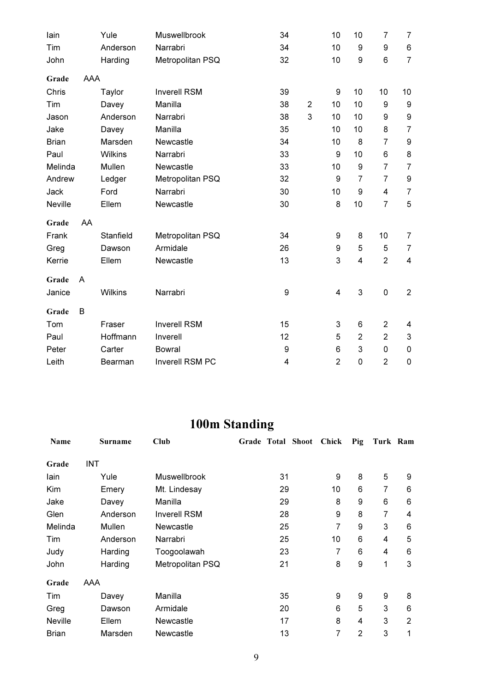| lain         |     | Yule           | Muswellbrook        | 34 |                | 10             | 10               | 7              | 7                       |
|--------------|-----|----------------|---------------------|----|----------------|----------------|------------------|----------------|-------------------------|
| Tim          |     | Anderson       | Narrabri            | 34 |                | 10             | 9                | 9              | $\,6$                   |
| John         |     | Harding        | Metropolitan PSQ    | 32 |                | 10             | 9                | 6              | $\overline{7}$          |
| Grade        | AAA |                |                     |    |                |                |                  |                |                         |
| Chris        |     | Taylor         | <b>Inverell RSM</b> | 39 |                | 9              | 10               | 10             | 10                      |
| Tim          |     | Davey          | Manilla             | 38 | $\overline{2}$ | 10             | 10               | 9              | $\boldsymbol{9}$        |
| Jason        |     | Anderson       | Narrabri            | 38 | 3              | 10             | 10               | 9              | $\boldsymbol{9}$        |
| Jake         |     | Davey          | Manilla             | 35 |                | 10             | 10               | 8              | $\overline{7}$          |
| <b>Brian</b> |     | Marsden        | Newcastle           | 34 |                | 10             | 8                | $\overline{7}$ | $\boldsymbol{9}$        |
| Paul         |     | Wilkins        | Narrabri            | 33 |                | 9              | 10               | 6              | $\bf 8$                 |
| Melinda      |     | Mullen         | Newcastle           | 33 |                | 10             | $\boldsymbol{9}$ | $\overline{7}$ | $\overline{7}$          |
| Andrew       |     | Ledger         | Metropolitan PSQ    | 32 |                | 9              | 7                | 7              | $\boldsymbol{9}$        |
| Jack         |     | Ford           | Narrabri            | 30 |                | 10             | 9                | 4              | $\overline{7}$          |
| Neville      |     | Ellem          | Newcastle           | 30 |                | 8              | 10               | 7              | 5                       |
| Grade        | AA  |                |                     |    |                |                |                  |                |                         |
| Frank        |     | Stanfield      | Metropolitan PSQ    | 34 |                | 9              | 8                | 10             | $\overline{7}$          |
| Greg         |     | Dawson         | Armidale            | 26 |                | 9              | 5                | 5              | $\overline{7}$          |
| Kerrie       |     | Ellem          | Newcastle           | 13 |                | 3              | $\overline{4}$   | $\overline{2}$ | $\overline{\mathbf{4}}$ |
| Grade        | A   |                |                     |    |                |                |                  |                |                         |
| Janice       |     | <b>Wilkins</b> | Narrabri            | 9  |                | $\overline{4}$ | 3                | $\mathbf 0$    | $\overline{2}$          |
| Grade        | B   |                |                     |    |                |                |                  |                |                         |
| Tom          |     | Fraser         | <b>Inverell RSM</b> | 15 |                | 3              | 6                | $\overline{2}$ | 4                       |
| Paul         |     | Hoffmann       | Inverell            | 12 |                | 5              | $\overline{2}$   | $\overline{2}$ | $\mathbf{3}$            |
| Peter        |     | Carter         | <b>Bowral</b>       | 9  |                | 6              | 3                | $\mathsf 0$    | $\pmb{0}$               |
| Leith        |     | Bearman        | Inverell RSM PC     | 4  |                | $\overline{2}$ | 0                | $\overline{2}$ | $\mathbf 0$             |

### 100m Standing

| Name           |     | <b>Surname</b> | Club                |    | Grade Total Shoot Chick |    | Pig            | Turk Ram |   |
|----------------|-----|----------------|---------------------|----|-------------------------|----|----------------|----------|---|
| Grade          | INT |                |                     |    |                         |    |                |          |   |
| lain           |     | Yule           | <b>Muswellbrook</b> | 31 |                         | 9  | 8              | 5        | 9 |
| Kim            |     | Emery          | Mt. Lindesay        | 29 |                         | 10 | 6              | 7        | 6 |
| Jake           |     | Davey          | Manilla             | 29 |                         | 8  | 9              | 6        | 6 |
| Glen           |     | Anderson       | <b>Inverell RSM</b> | 28 |                         | 9  | 8              | 7        | 4 |
| Melinda        |     | Mullen         | <b>Newcastle</b>    | 25 |                         | 7  | 9              | 3        | 6 |
| Tim            |     | Anderson       | Narrabri            | 25 |                         | 10 | 6              | 4        | 5 |
| Judy           |     | Harding        | Toogoolawah         | 23 |                         | 7  | 6              | 4        | 6 |
| John           |     | Harding        | Metropolitan PSQ    | 21 |                         | 8  | 9              | 1        | 3 |
| Grade          | AAA |                |                     |    |                         |    |                |          |   |
| Tim            |     | Davey          | Manilla             | 35 |                         | 9  | 9              | 9        | 8 |
| Greg           |     | Dawson         | Armidale            | 20 |                         | 6  | 5              | 3        | 6 |
| <b>Neville</b> |     | Ellem          | <b>Newcastle</b>    | 17 |                         | 8  | 4              | 3        | 2 |
| <b>Brian</b>   |     | Marsden        | <b>Newcastle</b>    | 13 |                         | 7  | $\overline{2}$ | 3        | 1 |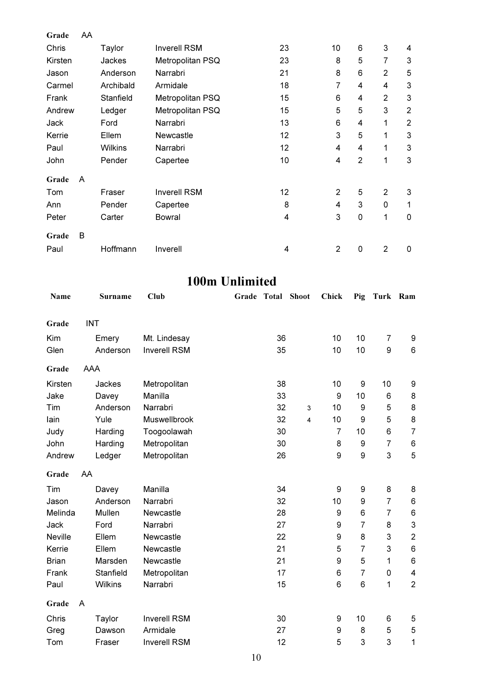| Grade   | AA |               |                     |    |                |                |                |                |
|---------|----|---------------|---------------------|----|----------------|----------------|----------------|----------------|
| Chris   |    | Taylor        | <b>Inverell RSM</b> | 23 | 10             | 6              | 3              | 4              |
| Kirsten |    | <b>Jackes</b> | Metropolitan PSQ    | 23 | 8              | 5              | 7              | 3              |
| Jason   |    | Anderson      | Narrabri            | 21 | 8              | 6              | $\overline{2}$ | 5              |
| Carmel  |    | Archibald     | Armidale            | 18 | 7              | 4              | 4              | $\mathbf{3}$   |
| Frank   |    | Stanfield     | Metropolitan PSQ    | 15 | 6              | 4              | $\overline{2}$ | $\mathbf{3}$   |
| Andrew  |    | Ledger        | Metropolitan PSQ    | 15 | 5              | 5              | 3              | $\overline{2}$ |
| Jack    |    | Ford          | Narrabri            | 13 | 6              | 4              | 1              | $\overline{2}$ |
| Kerrie  |    | Ellem         | Newcastle           | 12 | 3              | 5              | 1              | 3              |
| Paul    |    | Wilkins       | Narrabri            | 12 | $\overline{4}$ | 4              | 1              | 3              |
| John    |    | Pender        | Capertee            | 10 | $\overline{4}$ | $\overline{2}$ | 1              | 3              |
| Grade   | A  |               |                     |    |                |                |                |                |
| Tom     |    | Fraser        | <b>Inverell RSM</b> | 12 | $\overline{2}$ | 5              | $\overline{2}$ | 3              |
| Ann     |    | Pender        | Capertee            | 8  | 4              | 3              | 0              | 1              |
| Peter   |    | Carter        | <b>Bowral</b>       | 4  | 3              | $\mathsf 0$    | 1              | $\mathbf 0$    |
| Grade   | B  |               |                     |    |                |                |                |                |
| Paul    |    | Hoffmann      | Inverell            | 4  | $\overline{2}$ | $\mathbf 0$    | $\overline{2}$ | 0              |

#### 100m Unlimited

| Name           |                | Surname | <b>Club</b>         |  | Grade Total Shoot |   | Chick          | Pig            | Turk Ram       |                           |
|----------------|----------------|---------|---------------------|--|-------------------|---|----------------|----------------|----------------|---------------------------|
| Grade          | <b>INT</b>     |         |                     |  |                   |   |                |                |                |                           |
| Kim            | Emery          |         | Mt. Lindesay        |  | 36                |   | 10             | 10             | $\overline{7}$ | 9                         |
| Glen           | Anderson       |         | <b>Inverell RSM</b> |  | 35                |   | 10             | 10             | 9              | 6                         |
|                |                |         |                     |  |                   |   |                |                |                |                           |
| Grade          | AAA            |         |                     |  |                   |   |                |                |                |                           |
| Kirsten        | Jackes         |         | Metropolitan        |  | 38                |   | 10             | 9              | 10             | 9                         |
| Jake           | Davey          |         | Manilla             |  | 33                |   | 9              | 10             | 6              | $\bf 8$                   |
| Tim            | Anderson       |         | Narrabri            |  | 32                | 3 | 10             | 9              | 5              | $\bf 8$                   |
| lain           | Yule           |         | Muswellbrook        |  | 32                | 4 | 10             | 9              | 5              | 8                         |
| Judy           | Harding        |         | Toogoolawah         |  | 30                |   | $\overline{7}$ | 10             | 6              | $\overline{7}$            |
| John           | Harding        |         | Metropolitan        |  | 30                |   | 8              | 9              | $\overline{7}$ | $\,6$                     |
| Andrew         | Ledger         |         | Metropolitan        |  | 26                |   | 9              | 9              | 3              | 5                         |
| Grade          | AA             |         |                     |  |                   |   |                |                |                |                           |
| Tim            | Davey          |         | Manilla             |  | 34                |   | 9              | 9              | 8              | $\bf 8$                   |
| Jason          | Anderson       |         | Narrabri            |  | 32                |   | 10             | 9              | $\overline{7}$ | 6                         |
| Melinda        | Mullen         |         | Newcastle           |  | 28                |   | 9              | 6              | $\overline{7}$ | 6                         |
| Jack           | Ford           |         | Narrabri            |  | 27                |   | 9              | $\overline{7}$ | 8              | $\ensuremath{\mathsf{3}}$ |
| <b>Neville</b> | Ellem          |         | Newcastle           |  | 22                |   | 9              | 8              | 3              | $\mathbf 2$               |
| Kerrie         | Ellem          |         | Newcastle           |  | 21                |   | 5              | 7              | 3              | $\,6$                     |
| <b>Brian</b>   | Marsden        |         | Newcastle           |  | 21                |   | 9              | 5              | $\mathbf{1}$   | 6                         |
| Frank          | Stanfield      |         | Metropolitan        |  | 17                |   | 6              | $\overline{7}$ | 0              | 4                         |
| Paul           | <b>Wilkins</b> |         | Narrabri            |  | 15                |   | 6              | 6              | $\mathbf{1}$   | $\overline{2}$            |
| Grade          | A              |         |                     |  |                   |   |                |                |                |                           |
| Chris          | Taylor         |         | <b>Inverell RSM</b> |  | 30                |   | 9              | 10             | 6              | 5                         |
| Greg           | Dawson         |         | Armidale            |  | 27                |   | 9              | 8              | 5              | $\mathbf 5$               |
| Tom            | Fraser         |         | <b>Inverell RSM</b> |  | 12                |   | 5              | 3              | 3              | 1                         |
|                |                |         |                     |  |                   |   |                |                |                |                           |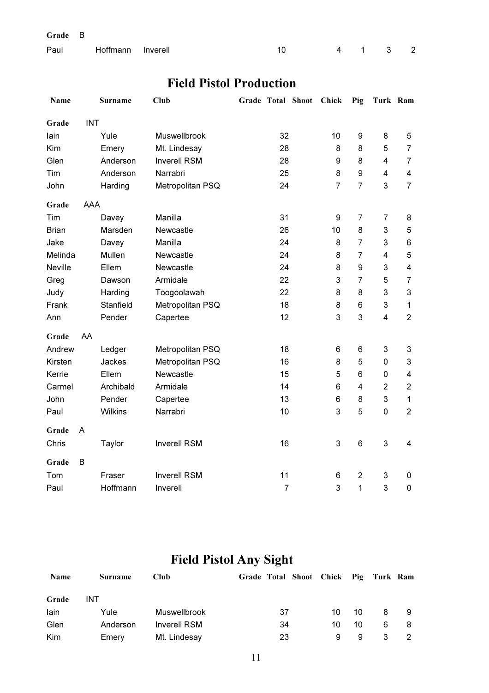| Grade |  |
|-------|--|
|-------|--|

| Paul Hoffmann Inverell |  | 4 1 3 2 |  |  |
|------------------------|--|---------|--|--|
|                        |  |         |  |  |

### Field Pistol Production

| Name           |            | Surname        | Club                | Grade Total Shoot | Chick          | Pig            | Turk Ram       |                         |
|----------------|------------|----------------|---------------------|-------------------|----------------|----------------|----------------|-------------------------|
| Grade          | <b>INT</b> |                |                     |                   |                |                |                |                         |
| lain           |            | Yule           | Muswellbrook        | 32                | 10             | 9              | 8              | 5                       |
| Kim            |            | Emery          | Mt. Lindesay        | 28                | 8              | 8              | 5              | $\overline{7}$          |
| Glen           |            | Anderson       | <b>Inverell RSM</b> | 28                | 9              | 8              | 4              | $\overline{7}$          |
| Tim            |            | Anderson       | Narrabri            | 25                | 8              | 9              | 4              | $\overline{\mathbf{4}}$ |
| John           |            | Harding        | Metropolitan PSQ    | 24                | $\overline{7}$ | $\overline{7}$ | 3              | $\overline{7}$          |
| Grade          | <b>AAA</b> |                |                     |                   |                |                |                |                         |
| Tim            |            | Davey          | Manilla             | 31                | 9              | $\overline{7}$ | $\overline{7}$ | 8                       |
| <b>Brian</b>   |            | Marsden        | Newcastle           | 26                | 10             | 8              | 3              | 5                       |
| Jake           |            | Davey          | Manilla             | 24                | 8              | $\overline{7}$ | 3              | 6                       |
| Melinda        |            | Mullen         | Newcastle           | 24                | 8              | $\overline{7}$ | 4              | $\mathbf 5$             |
| <b>Neville</b> |            | Ellem          | Newcastle           | 24                | 8              | 9              | 3              | $\overline{\mathbf{4}}$ |
| Greg           |            | Dawson         | Armidale            | 22                | 3              | $\overline{7}$ | 5              | $\overline{7}$          |
| Judy           |            | Harding        | Toogoolawah         | 22                | 8              | 8              | 3              | 3                       |
| Frank          |            | Stanfield      | Metropolitan PSQ    | 18                | 8              | 6              | 3              | $\mathbf 1$             |
| Ann            |            | Pender         | Capertee            | 12                | 3              | 3              | 4              | $\overline{2}$          |
| Grade          | AA         |                |                     |                   |                |                |                |                         |
| Andrew         |            | Ledger         | Metropolitan PSQ    | 18                | 6              | 6              | 3              | $\mathbf{3}$            |
| Kirsten        |            | Jackes         | Metropolitan PSQ    | 16                | 8              | 5              | 0              | $\mathbf{3}$            |
| Kerrie         |            | Ellem          | Newcastle           | 15                | 5              | 6              | 0              | $\overline{\mathbf{4}}$ |
| Carmel         |            | Archibald      | Armidale            | 14                | 6              | 4              | $\overline{2}$ | $\overline{2}$          |
| John           |            | Pender         | Capertee            | 13                | 6              | 8              | 3              | $\mathbf{1}$            |
| Paul           |            | <b>Wilkins</b> | Narrabri            | 10                | 3              | 5              | 0              | $\overline{2}$          |
| Grade          | A          |                |                     |                   |                |                |                |                         |
| Chris          |            | Taylor         | <b>Inverell RSM</b> | 16                | 3              | 6              | 3              | 4                       |
| Grade          | B          |                |                     |                   |                |                |                |                         |
| Tom            |            | Fraser         | <b>Inverell RSM</b> | 11                | 6              | $\overline{2}$ | 3              | 0                       |
| Paul           |            | Hoffmann       | Inverell            | $\overline{7}$    | 3              | 1              | 3              | $\mathbf 0$             |

## Field Pistol Any Sight

| Name  | Surname  | <b>Club</b>         | Grade Total Shoot Chick Pig Turk Ram |    |    |   |    |
|-------|----------|---------------------|--------------------------------------|----|----|---|----|
| Grade | INT      |                     |                                      |    |    |   |    |
| lain  | Yule     | <b>Muswellbrook</b> | 37                                   | 10 | 10 | 8 | -9 |
| Glen  | Anderson | <b>Inverell RSM</b> | 34                                   | 10 | 10 | 6 | 8  |
| Kim   | Emery    | Mt. Lindesay        | 23                                   | 9  | 9  |   |    |